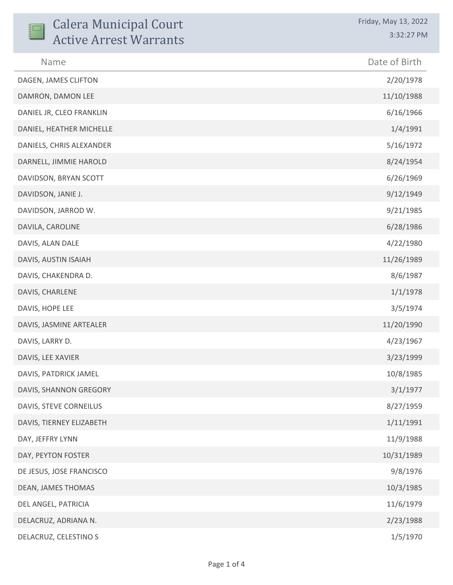| <b>Calera Municipal Court</b><br><b>Active Arrest Warrants</b> | Friday, May 13, 2022<br>3:32:27 PM |
|----------------------------------------------------------------|------------------------------------|
| Name                                                           | Date of Birth                      |
| DAGEN, JAMES CLIFTON                                           | 2/20/1978                          |
| DAMRON, DAMON LEE                                              | 11/10/1988                         |
| DANIEL JR, CLEO FRANKLIN                                       | 6/16/1966                          |
| DANIEL, HEATHER MICHELLE                                       | 1/4/1991                           |
| DANIELS, CHRIS ALEXANDER                                       | 5/16/1972                          |
| DARNELL, JIMMIE HAROLD                                         | 8/24/1954                          |
| DAVIDSON, BRYAN SCOTT                                          | 6/26/1969                          |
| DAVIDSON, JANIE J.                                             | 9/12/1949                          |
| DAVIDSON, JARROD W.                                            | 9/21/1985                          |
| DAVILA, CAROLINE                                               | 6/28/1986                          |
| DAVIS, ALAN DALE                                               | 4/22/1980                          |
| DAVIS, AUSTIN ISAIAH                                           | 11/26/1989                         |
| DAVIS, CHAKENDRA D.                                            | 8/6/1987                           |
| DAVIS, CHARLENE                                                | 1/1/1978                           |
| DAVIS, HOPE LEE                                                | 3/5/1974                           |
| DAVIS, JASMINE ARTEALER                                        | 11/20/1990                         |
| DAVIS, LARRY D.                                                | 4/23/1967                          |
| DAVIS, LEE XAVIER                                              | 3/23/1999                          |
| DAVIS, PATDRICK JAMEL                                          | 10/8/1985                          |
| DAVIS, SHANNON GREGORY                                         | 3/1/1977                           |
| DAVIS, STEVE CORNEILUS                                         | 8/27/1959                          |
| DAVIS, TIERNEY ELIZABETH                                       | 1/11/1991                          |
| DAY, JEFFRY LYNN                                               | 11/9/1988                          |
| DAY, PEYTON FOSTER                                             | 10/31/1989                         |
| DE JESUS, JOSE FRANCISCO                                       | 9/8/1976                           |
| DEAN, JAMES THOMAS                                             | 10/3/1985                          |
| DEL ANGEL, PATRICIA                                            | 11/6/1979                          |
| DELACRUZ, ADRIANA N.                                           | 2/23/1988                          |
| DELACRUZ, CELESTINO S                                          | 1/5/1970                           |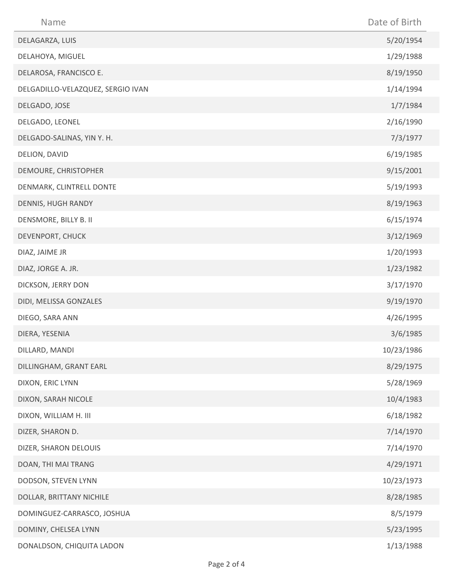| Name                              | Date of Birth |
|-----------------------------------|---------------|
| DELAGARZA, LUIS                   | 5/20/1954     |
| DELAHOYA, MIGUEL                  | 1/29/1988     |
| DELAROSA, FRANCISCO E.            | 8/19/1950     |
| DELGADILLO-VELAZQUEZ, SERGIO IVAN | 1/14/1994     |
| DELGADO, JOSE                     | 1/7/1984      |
| DELGADO, LEONEL                   | 2/16/1990     |
| DELGADO-SALINAS, YIN Y. H.        | 7/3/1977      |
| DELION, DAVID                     | 6/19/1985     |
| DEMOURE, CHRISTOPHER              | 9/15/2001     |
| DENMARK, CLINTRELL DONTE          | 5/19/1993     |
| DENNIS, HUGH RANDY                | 8/19/1963     |
| DENSMORE, BILLY B. II             | 6/15/1974     |
| DEVENPORT, CHUCK                  | 3/12/1969     |
| DIAZ, JAIME JR                    | 1/20/1993     |
| DIAZ, JORGE A. JR.                | 1/23/1982     |
| DICKSON, JERRY DON                | 3/17/1970     |
| DIDI, MELISSA GONZALES            | 9/19/1970     |
| DIEGO, SARA ANN                   | 4/26/1995     |
| DIERA, YESENIA                    | 3/6/1985      |
| DILLARD, MANDI                    | 10/23/1986    |
| DILLINGHAM, GRANT EARL            | 8/29/1975     |
| DIXON, ERIC LYNN                  | 5/28/1969     |
| DIXON, SARAH NICOLE               | 10/4/1983     |
| DIXON, WILLIAM H. III             | 6/18/1982     |
| DIZER, SHARON D.                  | 7/14/1970     |
| DIZER, SHARON DELOUIS             | 7/14/1970     |
| DOAN, THI MAI TRANG               | 4/29/1971     |
| DODSON, STEVEN LYNN               | 10/23/1973    |
| DOLLAR, BRITTANY NICHILE          | 8/28/1985     |
| DOMINGUEZ-CARRASCO, JOSHUA        | 8/5/1979      |
| DOMINY, CHELSEA LYNN              | 5/23/1995     |
| DONALDSON, CHIQUITA LADON         | 1/13/1988     |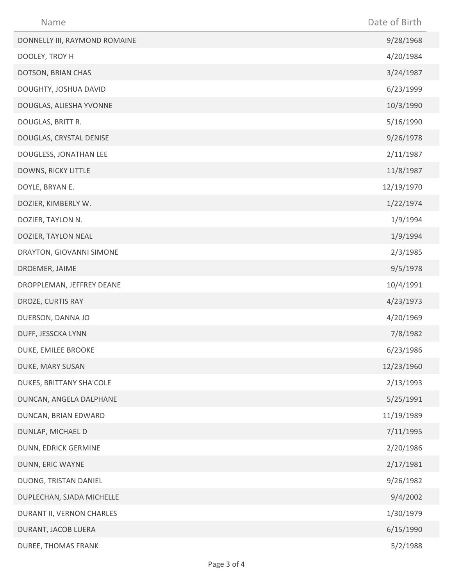| Name                          | Date of Birth |
|-------------------------------|---------------|
| DONNELLY III, RAYMOND ROMAINE | 9/28/1968     |
| DOOLEY, TROY H                | 4/20/1984     |
| DOTSON, BRIAN CHAS            | 3/24/1987     |
| DOUGHTY, JOSHUA DAVID         | 6/23/1999     |
| DOUGLAS, ALIESHA YVONNE       | 10/3/1990     |
| DOUGLAS, BRITT R.             | 5/16/1990     |
| DOUGLAS, CRYSTAL DENISE       | 9/26/1978     |
| DOUGLESS, JONATHAN LEE        | 2/11/1987     |
| DOWNS, RICKY LITTLE           | 11/8/1987     |
| DOYLE, BRYAN E.               | 12/19/1970    |
| DOZIER, KIMBERLY W.           | 1/22/1974     |
| DOZIER, TAYLON N.             | 1/9/1994      |
| DOZIER, TAYLON NEAL           | 1/9/1994      |
| DRAYTON, GIOVANNI SIMONE      | 2/3/1985      |
| DROEMER, JAIME                | 9/5/1978      |
| DROPPLEMAN, JEFFREY DEANE     | 10/4/1991     |
| DROZE, CURTIS RAY             | 4/23/1973     |
| DUERSON, DANNA JO             | 4/20/1969     |
| DUFF, JESSCKA LYNN            | 7/8/1982      |
| DUKE, EMILEE BROOKE           | 6/23/1986     |
| DUKE, MARY SUSAN              | 12/23/1960    |
| DUKES, BRITTANY SHA'COLE      | 2/13/1993     |
| DUNCAN, ANGELA DALPHANE       | 5/25/1991     |
| DUNCAN, BRIAN EDWARD          | 11/19/1989    |
| DUNLAP, MICHAEL D             | 7/11/1995     |
| DUNN, EDRICK GERMINE          | 2/20/1986     |
| DUNN, ERIC WAYNE              | 2/17/1981     |
| DUONG, TRISTAN DANIEL         | 9/26/1982     |
| DUPLECHAN, SJADA MICHELLE     | 9/4/2002      |
| DURANT II, VERNON CHARLES     | 1/30/1979     |
| DURANT, JACOB LUERA           | 6/15/1990     |
| DUREE, THOMAS FRANK           | 5/2/1988      |